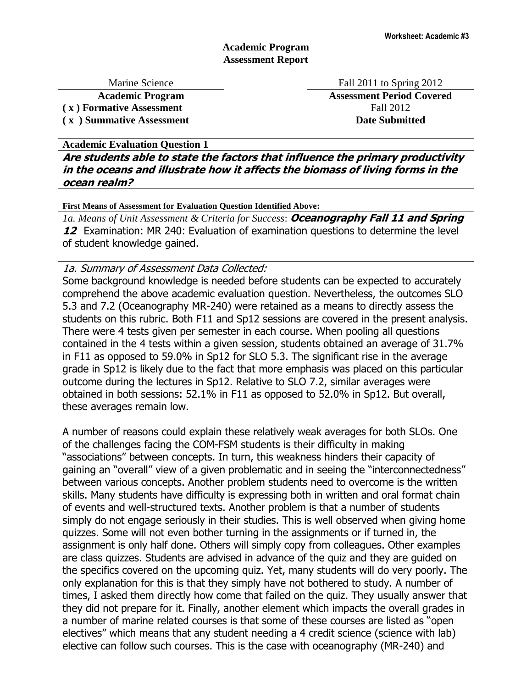## **Academic Program Assessment Report**

**( x ) Formative Assessment** Fall 2012

Marine Science Fall 2011 to Spring 2012 **Academic Program Assessment Period Covered ( x ) Summative Assessment Date Submitted**

**Academic Evaluation Question 1** 

**Are students able to state the factors that influence the primary productivity in the oceans and illustrate how it affects the biomass of living forms in the ocean realm?**

**First Means of Assessment for Evaluation Question Identified Above:**

*1a. Means of Unit Assessment & Criteria for Success*: **Oceanography Fall 11 and Spring 12** Examination: MR 240: Evaluation of examination questions to determine the level of student knowledge gained.

1a. Summary of Assessment Data Collected:

Some background knowledge is needed before students can be expected to accurately comprehend the above academic evaluation question. Nevertheless, the outcomes SLO 5.3 and 7.2 (Oceanography MR-240) were retained as a means to directly assess the students on this rubric. Both F11 and Sp12 sessions are covered in the present analysis. There were 4 tests given per semester in each course. When pooling all questions contained in the 4 tests within a given session, students obtained an average of 31.7% in F11 as opposed to 59.0% in Sp12 for SLO 5.3. The significant rise in the average grade in Sp12 is likely due to the fact that more emphasis was placed on this particular outcome during the lectures in Sp12. Relative to SLO 7.2, similar averages were obtained in both sessions: 52.1% in F11 as opposed to 52.0% in Sp12. But overall, these averages remain low.

A number of reasons could explain these relatively weak averages for both SLOs. One of the challenges facing the COM-FSM students is their difficulty in making "associations" between concepts. In turn, this weakness hinders their capacity of gaining an "overall" view of a given problematic and in seeing the "interconnectedness" between various concepts. Another problem students need to overcome is the written skills. Many students have difficulty is expressing both in written and oral format chain of events and well-structured texts. Another problem is that a number of students simply do not engage seriously in their studies. This is well observed when giving home quizzes. Some will not even bother turning in the assignments or if turned in, the assignment is only half done. Others will simply copy from colleagues. Other examples are class quizzes. Students are advised in advance of the quiz and they are guided on the specifics covered on the upcoming quiz. Yet, many students will do very poorly. The only explanation for this is that they simply have not bothered to study. A number of times, I asked them directly how come that failed on the quiz. They usually answer that they did not prepare for it. Finally, another element which impacts the overall grades in a number of marine related courses is that some of these courses are listed as "open electives" which means that any student needing a 4 credit science (science with lab) elective can follow such courses. This is the case with oceanography (MR-240) and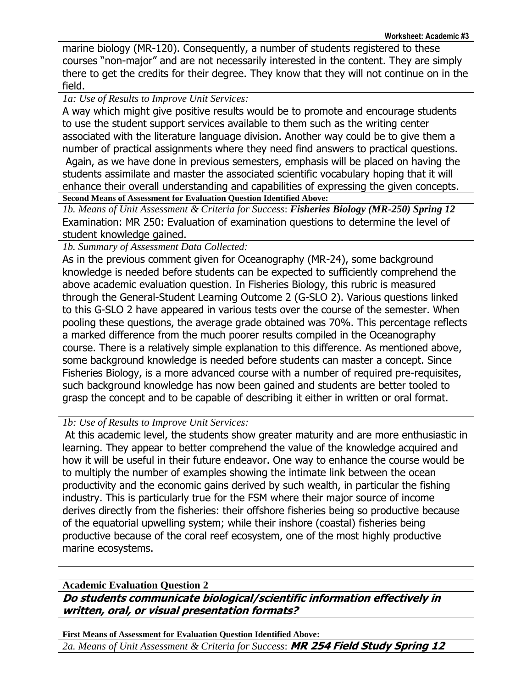marine biology (MR-120). Consequently, a number of students registered to these courses "non-major" and are not necessarily interested in the content. They are simply there to get the credits for their degree. They know that they will not continue on in the field.

*1a: Use of Results to Improve Unit Services:*

A way which might give positive results would be to promote and encourage students to use the student support services available to them such as the writing center associated with the literature language division. Another way could be to give them a number of practical assignments where they need find answers to practical questions. Again, as we have done in previous semesters, emphasis will be placed on having the students assimilate and master the associated scientific vocabulary hoping that it will enhance their overall understanding and capabilities of expressing the given concepts. **Second Means of Assessment for Evaluation Question Identified Above:**

*1b. Means of Unit Assessment & Criteria for Success*: *Fisheries Biology (MR-250) Spring 12* Examination: MR 250: Evaluation of examination questions to determine the level of student knowledge gained.

*1b. Summary of Assessment Data Collected:* 

As in the previous comment given for Oceanography (MR-24), some background knowledge is needed before students can be expected to sufficiently comprehend the above academic evaluation question. In Fisheries Biology, this rubric is measured through the General-Student Learning Outcome 2 (G-SLO 2). Various questions linked to this G-SLO 2 have appeared in various tests over the course of the semester. When pooling these questions, the average grade obtained was 70%. This percentage reflects a marked difference from the much poorer results compiled in the Oceanography course. There is a relatively simple explanation to this difference. As mentioned above, some background knowledge is needed before students can master a concept. Since Fisheries Biology, is a more advanced course with a number of required pre-requisites, such background knowledge has now been gained and students are better tooled to grasp the concept and to be capable of describing it either in written or oral format.

*1b: Use of Results to Improve Unit Services:*

At this academic level, the students show greater maturity and are more enthusiastic in learning. They appear to better comprehend the value of the knowledge acquired and how it will be useful in their future endeavor. One way to enhance the course would be to multiply the number of examples showing the intimate link between the ocean productivity and the economic gains derived by such wealth, in particular the fishing industry. This is particularly true for the FSM where their major source of income derives directly from the fisheries: their offshore fisheries being so productive because of the equatorial upwelling system; while their inshore (coastal) fisheries being productive because of the coral reef ecosystem, one of the most highly productive marine ecosystems.

**Academic Evaluation Question 2 Do students communicate biological/scientific information effectively in written, oral, or visual presentation formats?**

**First Means of Assessment for Evaluation Question Identified Above:** *2a. Means of Unit Assessment & Criteria for Success*: **MR 254 Field Study Spring 12**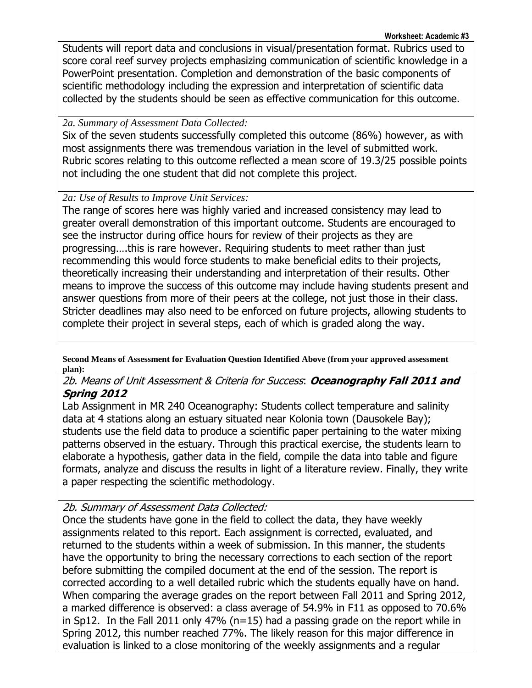Students will report data and conclusions in visual/presentation format. Rubrics used to score coral reef survey projects emphasizing communication of scientific knowledge in a PowerPoint presentation. Completion and demonstration of the basic components of scientific methodology including the expression and interpretation of scientific data collected by the students should be seen as effective communication for this outcome.

## *2a. Summary of Assessment Data Collected:*

Six of the seven students successfully completed this outcome (86%) however, as with most assignments there was tremendous variation in the level of submitted work. Rubric scores relating to this outcome reflected a mean score of 19.3/25 possible points not including the one student that did not complete this project.

# *2a: Use of Results to Improve Unit Services:*

The range of scores here was highly varied and increased consistency may lead to greater overall demonstration of this important outcome. Students are encouraged to see the instructor during office hours for review of their projects as they are progressing….this is rare however. Requiring students to meet rather than just recommending this would force students to make beneficial edits to their projects, theoretically increasing their understanding and interpretation of their results. Other means to improve the success of this outcome may include having students present and answer questions from more of their peers at the college, not just those in their class. Stricter deadlines may also need to be enforced on future projects, allowing students to complete their project in several steps, each of which is graded along the way.

**Second Means of Assessment for Evaluation Question Identified Above (from your approved assessment plan):**

# 2b. Means of Unit Assessment & Criteria for Success: **Oceanography Fall 2011 and Spring 2012**

Lab Assignment in MR 240 Oceanography: Students collect temperature and salinity data at 4 stations along an estuary situated near Kolonia town (Dausokele Bay); students use the field data to produce a scientific paper pertaining to the water mixing patterns observed in the estuary. Through this practical exercise, the students learn to elaborate a hypothesis, gather data in the field, compile the data into table and figure formats, analyze and discuss the results in light of a literature review. Finally, they write a paper respecting the scientific methodology.

# 2b. Summary of Assessment Data Collected:

Once the students have gone in the field to collect the data, they have weekly assignments related to this report. Each assignment is corrected, evaluated, and returned to the students within a week of submission. In this manner, the students have the opportunity to bring the necessary corrections to each section of the report before submitting the compiled document at the end of the session. The report is corrected according to a well detailed rubric which the students equally have on hand. When comparing the average grades on the report between Fall 2011 and Spring 2012, a marked difference is observed: a class average of 54.9% in F11 as opposed to 70.6% in Sp12. In the Fall 2011 only 47% ( $n=15$ ) had a passing grade on the report while in Spring 2012, this number reached 77%. The likely reason for this major difference in evaluation is linked to a close monitoring of the weekly assignments and a regular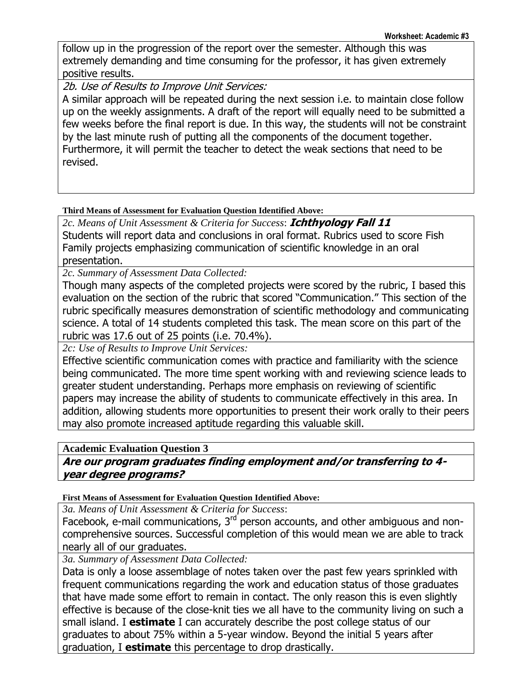follow up in the progression of the report over the semester. Although this was extremely demanding and time consuming for the professor, it has given extremely positive results.

2b. Use of Results to Improve Unit Services:

A similar approach will be repeated during the next session i.e. to maintain close follow up on the weekly assignments. A draft of the report will equally need to be submitted a few weeks before the final report is due. In this way, the students will not be constraint by the last minute rush of putting all the components of the document together. Furthermore, it will permit the teacher to detect the weak sections that need to be revised.

## **Third Means of Assessment for Evaluation Question Identified Above:**

*2c. Means of Unit Assessment & Criteria for Success*: **Ichthyology Fall 11** Students will report data and conclusions in oral format. Rubrics used to score Fish Family projects emphasizing communication of scientific knowledge in an oral presentation.

*2c. Summary of Assessment Data Collected:*

Though many aspects of the completed projects were scored by the rubric, I based this evaluation on the section of the rubric that scored "Communication." This section of the rubric specifically measures demonstration of scientific methodology and communicating science. A total of 14 students completed this task. The mean score on this part of the rubric was 17.6 out of 25 points (i.e. 70.4%).

*2c: Use of Results to Improve Unit Services:*

Effective scientific communication comes with practice and familiarity with the science being communicated. The more time spent working with and reviewing science leads to greater student understanding. Perhaps more emphasis on reviewing of scientific papers may increase the ability of students to communicate effectively in this area. In addition, allowing students more opportunities to present their work orally to their peers may also promote increased aptitude regarding this valuable skill.

### **Academic Evaluation Question 3**

# **Are our program graduates finding employment and/or transferring to 4 year degree programs?**

### **First Means of Assessment for Evaluation Question Identified Above:**

*3a. Means of Unit Assessment & Criteria for Success*:

Facebook, e-mail communications,  $3<sup>rd</sup>$  person accounts, and other ambiguous and noncomprehensive sources. Successful completion of this would mean we are able to track nearly all of our graduates.

*3a. Summary of Assessment Data Collected:*

Data is only a loose assemblage of notes taken over the past few years sprinkled with frequent communications regarding the work and education status of those graduates that have made some effort to remain in contact. The only reason this is even slightly effective is because of the close-knit ties we all have to the community living on such a small island. I **estimate** I can accurately describe the post college status of our graduates to about 75% within a 5-year window. Beyond the initial 5 years after graduation, I **estimate** this percentage to drop drastically.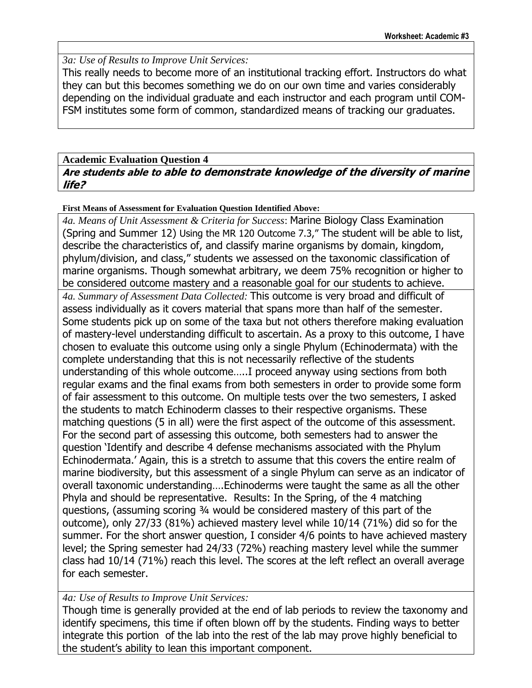## *3a: Use of Results to Improve Unit Services:*

This really needs to become more of an institutional tracking effort. Instructors do what they can but this becomes something we do on our own time and varies considerably depending on the individual graduate and each instructor and each program until COM-FSM institutes some form of common, standardized means of tracking our graduates.

## **Academic Evaluation Question 4**

## **Are students able to able to demonstrate knowledge of the diversity of marine life?**

### **First Means of Assessment for Evaluation Question Identified Above:**

*4a. Means of Unit Assessment & Criteria for Success*: Marine Biology Class Examination (Spring and Summer 12) Using the MR 120 Outcome 7.3," The student will be able to list, describe the characteristics of, and classify marine organisms by domain, kingdom, phylum/division, and class," students we assessed on the taxonomic classification of marine organisms. Though somewhat arbitrary, we deem 75% recognition or higher to be considered outcome mastery and a reasonable goal for our students to achieve. *4a. Summary of Assessment Data Collected:* This outcome is very broad and difficult of assess individually as it covers material that spans more than half of the semester. Some students pick up on some of the taxa but not others therefore making evaluation of mastery-level understanding difficult to ascertain. As a proxy to this outcome, I have chosen to evaluate this outcome using only a single Phylum (Echinodermata) with the complete understanding that this is not necessarily reflective of the students understanding of this whole outcome…..I proceed anyway using sections from both regular exams and the final exams from both semesters in order to provide some form of fair assessment to this outcome. On multiple tests over the two semesters, I asked the students to match Echinoderm classes to their respective organisms. These matching questions (5 in all) were the first aspect of the outcome of this assessment. For the second part of assessing this outcome, both semesters had to answer the question "Identify and describe 4 defense mechanisms associated with the Phylum Echinodermata." Again, this is a stretch to assume that this covers the entire realm of marine biodiversity, but this assessment of a single Phylum can serve as an indicator of overall taxonomic understanding….Echinoderms were taught the same as all the other Phyla and should be representative. Results: In the Spring, of the 4 matching questions, (assuming scoring ¾ would be considered mastery of this part of the outcome), only 27/33 (81%) achieved mastery level while 10/14 (71%) did so for the summer. For the short answer question, I consider 4/6 points to have achieved mastery level; the Spring semester had 24/33 (72%) reaching mastery level while the summer class had 10/14 (71%) reach this level. The scores at the left reflect an overall average for each semester.

## *4a: Use of Results to Improve Unit Services:*

Though time is generally provided at the end of lab periods to review the taxonomy and identify specimens, this time if often blown off by the students. Finding ways to better integrate this portion of the lab into the rest of the lab may prove highly beneficial to the student"s ability to lean this important component.